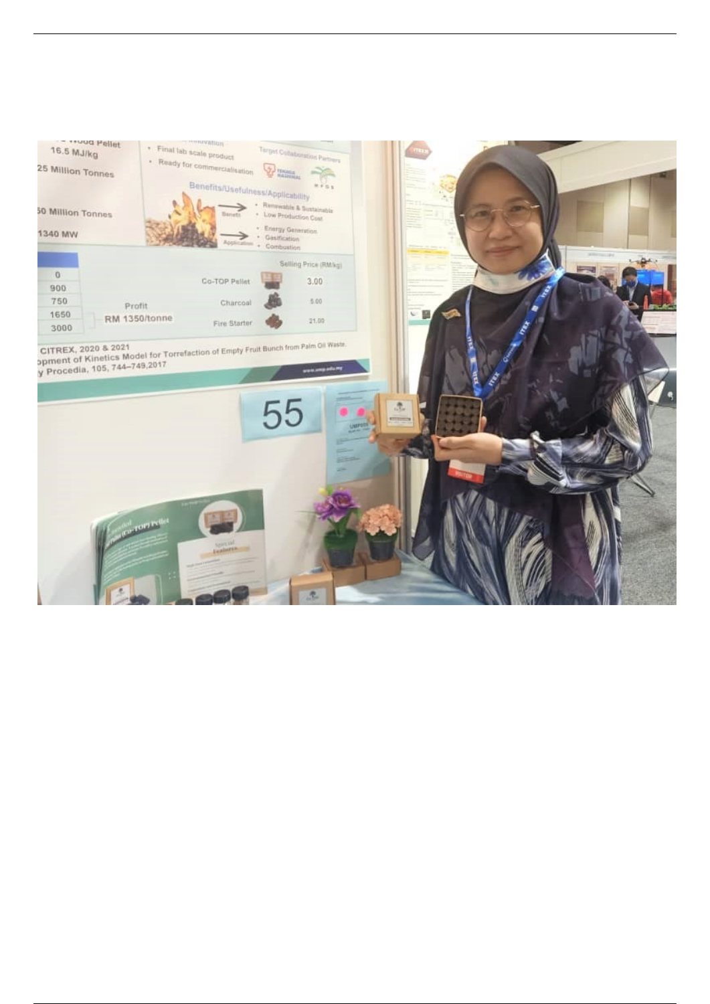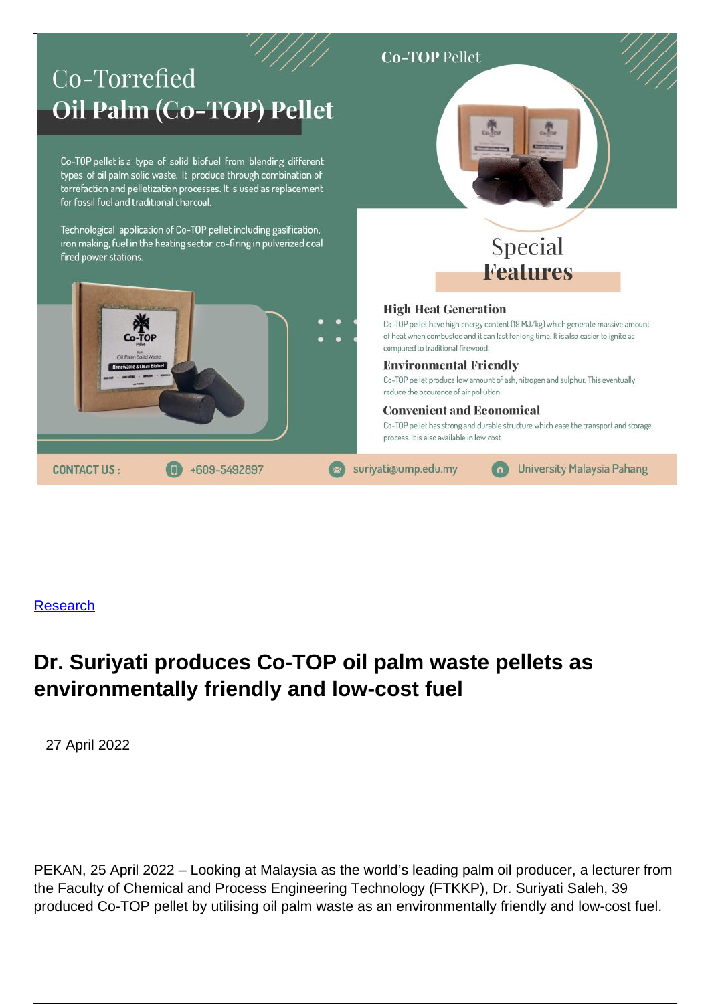

## **[Research](/research)**

## **Dr. Suriyati produces Co-TOP oil palm waste pellets as environmentally friendly and low-cost fuel**

27 April 2022

PEKAN, 25 April 2022 – Looking at Malaysia as the world's leading palm oil producer, a lecturer from the Faculty of Chemical and Process Engineering Technology (FTKKP), Dr. Suriyati Saleh, 39 produced Co-TOP pellet by utilising oil palm waste as an environmentally friendly and low-cost fuel.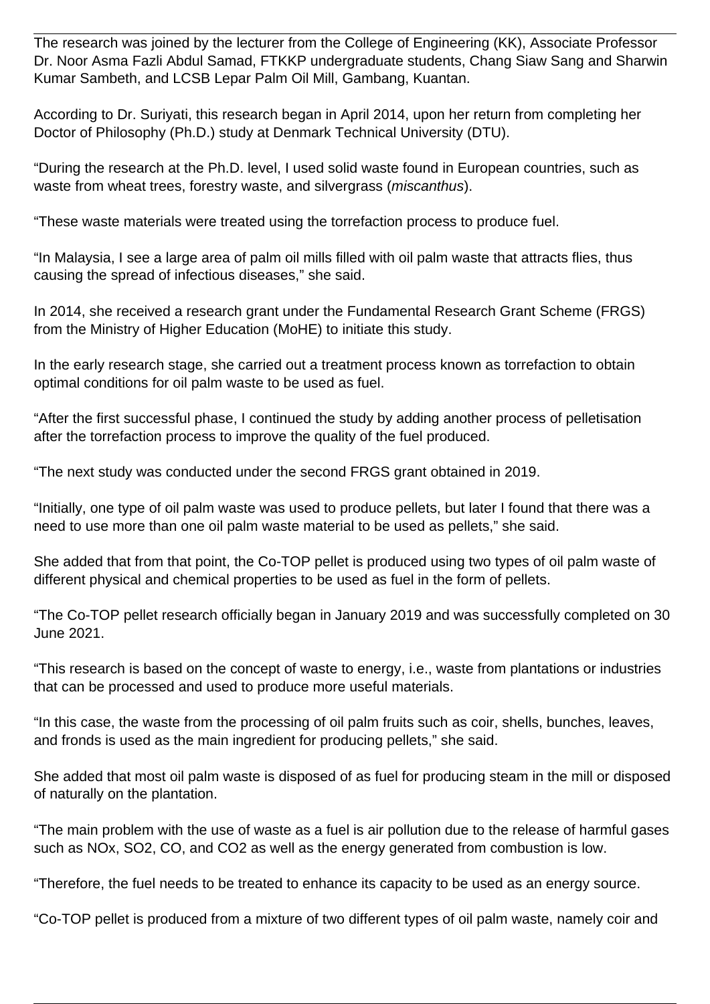The research was joined by the lecturer from the College of Engineering (KK), Associate Professor Dr. Noor Asma Fazli Abdul Samad, FTKKP undergraduate students, Chang Siaw Sang and Sharwin Kumar Sambeth, and LCSB Lepar Palm Oil Mill, Gambang, Kuantan.

According to Dr. Suriyati, this research began in April 2014, upon her return from completing her Doctor of Philosophy (Ph.D.) study at Denmark Technical University (DTU).

"During the research at the Ph.D. level, I used solid waste found in European countries, such as waste from wheat trees, forestry waste, and silvergrass (miscanthus).

"These waste materials were treated using the torrefaction process to produce fuel.

"In Malaysia, I see a large area of palm oil mills filled with oil palm waste that attracts flies, thus causing the spread of infectious diseases," she said.

In 2014, she received a research grant under the Fundamental Research Grant Scheme (FRGS) from the Ministry of Higher Education (MoHE) to initiate this study.

In the early research stage, she carried out a treatment process known as torrefaction to obtain optimal conditions for oil palm waste to be used as fuel.

"After the first successful phase, I continued the study by adding another process of pelletisation after the torrefaction process to improve the quality of the fuel produced.

"The next study was conducted under the second FRGS grant obtained in 2019.

"Initially, one type of oil palm waste was used to produce pellets, but later I found that there was a need to use more than one oil palm waste material to be used as pellets," she said.

She added that from that point, the Co-TOP pellet is produced using two types of oil palm waste of different physical and chemical properties to be used as fuel in the form of pellets.

"The Co-TOP pellet research officially began in January 2019 and was successfully completed on 30 June 2021.

"This research is based on the concept of waste to energy, i.e., waste from plantations or industries that can be processed and used to produce more useful materials.

"In this case, the waste from the processing of oil palm fruits such as coir, shells, bunches, leaves, and fronds is used as the main ingredient for producing pellets," she said.

She added that most oil palm waste is disposed of as fuel for producing steam in the mill or disposed of naturally on the plantation.

"The main problem with the use of waste as a fuel is air pollution due to the release of harmful gases such as NOx, SO2, CO, and CO2 as well as the energy generated from combustion is low.

"Therefore, the fuel needs to be treated to enhance its capacity to be used as an energy source.

"Co-TOP pellet is produced from a mixture of two different types of oil palm waste, namely coir and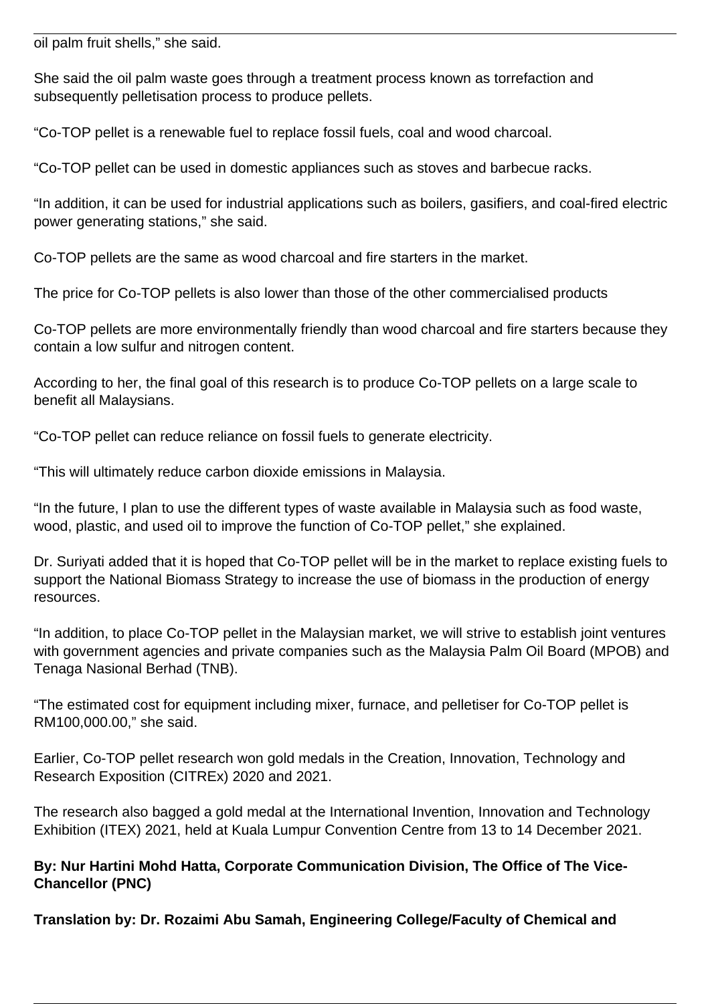oil palm fruit shells," she said.

She said the oil palm waste goes through a treatment process known as torrefaction and subsequently pelletisation process to produce pellets.

"Co-TOP pellet is a renewable fuel to replace fossil fuels, coal and wood charcoal.

"Co-TOP pellet can be used in domestic appliances such as stoves and barbecue racks.

"In addition, it can be used for industrial applications such as boilers, gasifiers, and coal-fired electric power generating stations," she said.

Co-TOP pellets are the same as wood charcoal and fire starters in the market.

The price for Co-TOP pellets is also lower than those of the other commercialised products

Co-TOP pellets are more environmentally friendly than wood charcoal and fire starters because they contain a low sulfur and nitrogen content.

According to her, the final goal of this research is to produce Co-TOP pellets on a large scale to benefit all Malaysians.

"Co-TOP pellet can reduce reliance on fossil fuels to generate electricity.

"This will ultimately reduce carbon dioxide emissions in Malaysia.

"In the future, I plan to use the different types of waste available in Malaysia such as food waste, wood, plastic, and used oil to improve the function of Co-TOP pellet," she explained.

Dr. Suriyati added that it is hoped that Co-TOP pellet will be in the market to replace existing fuels to support the National Biomass Strategy to increase the use of biomass in the production of energy resources.

"In addition, to place Co-TOP pellet in the Malaysian market, we will strive to establish joint ventures with government agencies and private companies such as the Malaysia Palm Oil Board (MPOB) and Tenaga Nasional Berhad (TNB).

"The estimated cost for equipment including mixer, furnace, and pelletiser for Co-TOP pellet is RM100,000.00," she said.

Earlier, Co-TOP pellet research won gold medals in the Creation, Innovation, Technology and Research Exposition (CITREx) 2020 and 2021.

The research also bagged a gold medal at the International Invention, Innovation and Technology Exhibition (ITEX) 2021, held at Kuala Lumpur Convention Centre from 13 to 14 December 2021.

## **By: Nur Hartini Mohd Hatta, Corporate Communication Division, The Office of The Vice-Chancellor (PNC)**

**Translation by: Dr. Rozaimi Abu Samah, Engineering College/Faculty of Chemical and**